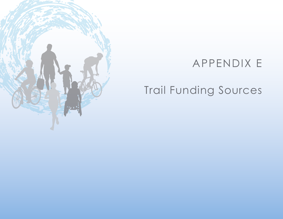

## APPENDIX E

# Trail Funding Sources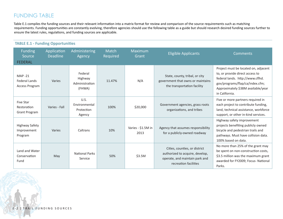## FUNDING TABLE

Table E.1 compiles the funding sources and their relevant information into a matrix format for review and comparison of the source requirements such as matching requirements. Funding opportunities are constantly evolving, therefore agencies should use the following table as a guide but should research desired funding sources further to ensure the latest rules, regulations, and funding sources are applicable.

| <b>TABLE E.1 - Funding Opportunities</b>                       |                                |                                                |                   |                            |                                                                                                                             |                                                                                                                                                                                                        |  |
|----------------------------------------------------------------|--------------------------------|------------------------------------------------|-------------------|----------------------------|-----------------------------------------------------------------------------------------------------------------------------|--------------------------------------------------------------------------------------------------------------------------------------------------------------------------------------------------------|--|
| <b>Funding</b><br>Source<br><b>FEDERAL</b>                     | Application<br><b>Deadline</b> | Administering<br>Agency                        | Match<br>Required | Maximum<br>Grant           | <b>Eligible Applicants</b>                                                                                                  | <b>Comments</b>                                                                                                                                                                                        |  |
| <b>MAP-21</b><br><b>Federal Lands</b><br><b>Access Program</b> | Varies                         | Federal<br>Highway<br>Administration<br>(FHWA) | 11.47%            | N/A                        | State, county, tribal, or city<br>government that owns or maintains<br>the transportation facility                          | Project must be located on, adjacent<br>to, or provide direct access to<br>federal lands. http://www.cflhd.<br>gov/programs/flap/ca/index.cfm;<br>Approximately \$38M available/year<br>in California. |  |
| <b>Five Star</b><br>Restoration<br><b>Grant Program</b>        | Varies - Fall                  | U.S.<br>Environmental<br>Protection<br>Agency  | 100%              | \$20,000                   | Government agencies, grass roots<br>organizations, and tribes                                                               | Five or more partners required in<br>each project to contribute funding,<br>land, technical assistance, workforce<br>support, or other in-kind services.                                               |  |
| Highway Safety<br>Improvement<br>Program                       | Varies                         | Caltrans                                       | 10%               | Varies - \$1.5M in<br>2013 | Agency that assumes responsibility<br>for a publicly-owned roadway                                                          | Highway safety improvement<br>projects benefiting publicly owned<br>bicycle and pedestrian trails and<br>pathways. Must have collision data.<br>100% based on data.                                    |  |
| Land and Water<br>Conservation<br>Fund                         | May                            | <b>National Parks</b><br>Service               | 50%               | \$3.5M                     | Cities, counties, or district<br>authorized to acquire, develop,<br>operate, and maintain park and<br>recreation facilities | No more than 25% of the grant may<br>be spent on non-construction costs,<br>\$3.5 million was the maximum grant<br>awarded for FY2009; Focus- National<br>Parks.                                       |  |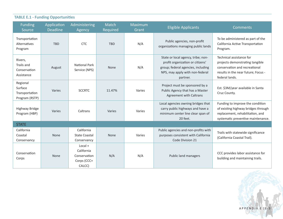| <b>TABLE E.1 - Funding Opportunities</b>                |                                |                                                                  |                   |                  |                                                                                                                                                             |                                                                                                                                                       |  |
|---------------------------------------------------------|--------------------------------|------------------------------------------------------------------|-------------------|------------------|-------------------------------------------------------------------------------------------------------------------------------------------------------------|-------------------------------------------------------------------------------------------------------------------------------------------------------|--|
| Funding<br>Source                                       | Application<br><b>Deadline</b> | Administering<br>Agency                                          | Match<br>Required | Maximum<br>Grant | <b>Eligible Applicants</b>                                                                                                                                  | <b>Comments</b>                                                                                                                                       |  |
| Transportation<br>Alternatives<br>Program               | TBD                            | <b>CTC</b>                                                       | <b>TBD</b>        | N/A              | Public agencies, non-profit<br>organizations managing public lands                                                                                          | To be administered as part of the<br>California Active Transportation<br>Program.                                                                     |  |
| Rivers,<br>Trails and<br>Conservation<br>Assistance     | August                         | National Park<br>Service (NPS)                                   | None              | N/A              | State or local agency, tribe; non-<br>profit organization or citizens'<br>group; federal agencies, including<br>NPS, may apply with non-federal<br>partner. | Technical assistance for<br>projects demonstrating tangible<br>conservation and recreational<br>results in the near future; Focus -<br>federal lands. |  |
| Regional<br>Surface<br>Transportation<br>Program (RSTP) | Varies                         | <b>SCCRTC</b>                                                    | 11.47%            | Varies           | Project must be sponsored by a<br>Public Agency that has a Master<br><b>Agreement with Caltrans</b>                                                         | Est. \$3M/year available in Santa<br>Cruz County.                                                                                                     |  |
| Highway Bridge<br>Program (HBP)                         | Varies                         | Caltrans                                                         | Varies            | Varies           | Local agencies owning bridges that<br>carry public highways and have a<br>minimum center line clear span of<br>20 feet.                                     | Funding to improve the condition<br>of existing highway bridges through<br>replacement, rehabilitation, and<br>systematic preventive maintenance.     |  |
| <b>STATE</b>                                            |                                |                                                                  |                   |                  |                                                                                                                                                             |                                                                                                                                                       |  |
| California<br>Coastal<br>Conservancy                    | None                           | California<br><b>State Coastal</b><br>Conservancy                | None              | Varies           | Public agencies and non-profits with<br>purposes consistent with California<br>Code Division 21                                                             | Trails with statewide significance<br>(California Coastal Trail).                                                                                     |  |
| Conservation<br>Corps                                   | None                           | $Local +$<br>California<br>Conservation<br>Corps (CCC+<br>CALCC) | N/A               | N/A              | Public land managers                                                                                                                                        | CCC provides labor assistance for<br>building and maintaining trails.                                                                                 |  |

#### **TABLE E.1 - Funding Opportunities**

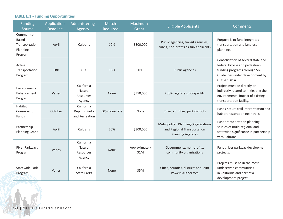### **TABLE E.1 - Funding Opportunities**

| <b>Funding</b><br>Source                                            | Application<br><b>Deadline</b> | Administering<br>Agency                        | Match<br>Required | Maximum<br>Grant      | <b>Eligible Applicants</b>                                                                            | <b>Comments</b>                                                                                                                                           |
|---------------------------------------------------------------------|--------------------------------|------------------------------------------------|-------------------|-----------------------|-------------------------------------------------------------------------------------------------------|-----------------------------------------------------------------------------------------------------------------------------------------------------------|
| Community-<br><b>Based</b><br>Transportation<br>Planning<br>Program | April                          | Caltrans                                       | 10%               | \$300,000             | Public agencies, transit agencies,<br>tribes, non-profits as sub-applicants                           | Purpose is to fund integrated<br>transportation and land use<br>planning.                                                                                 |
| Active<br>Transportation<br>Program                                 | <b>TBD</b>                     | <b>CTC</b>                                     | <b>TBD</b>        | <b>TBD</b>            | Public agencies                                                                                       | Consolidation of several state and<br>federal bicycle and pedestrian<br>funding programs through SB99.<br>Guidelines under development by<br>CTC 2013/14. |
| Environmental<br>Enhancement<br>Program                             | Varies                         | California<br>Natural<br>Resources<br>Agency   | <b>None</b>       | \$350,000             | Public agencies, non-profits                                                                          | Project must be directly or<br>indirectly related to mitigating the<br>environmental impact of existing<br>transportation facility.                       |
| Habitat<br>Conservation<br>Funds                                    | October                        | California<br>Dept. of Parks<br>and Recreation | 50% non-state     | None                  | Cities, counties, park districts                                                                      | Funds nature trail interpretation and<br>habitat restoration near trails.                                                                                 |
| Partnership<br><b>Planning Grant</b>                                | April                          | Caltrans                                       | 20%               | \$300,000             | <b>Metropolitan Planning Organizations</b><br>and Regional Transportation<br><b>Planning Agencies</b> | Fund transportation planning<br>studies of multi-regional and<br>statewide significance in partnership<br>with Caltrans.                                  |
| River Parkways<br>Program                                           | Varies                         | California<br>Natural<br>Resources<br>Agency   | None              | Approximately<br>\$1M | Governments, non-profits,<br>community organizations                                                  | Funds river parkway development<br>projects.                                                                                                              |
| Statewide Park<br>Program                                           | Varies                         | California<br><b>State Parks</b>               | None              | \$5M                  | Cities, counties, districts and Joint<br><b>Powers Authorities</b>                                    | Projects must be in the most<br>undeserved communities<br>in California and part of a<br>development project.                                             |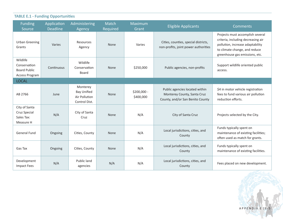| <b>TABLE E.1 - Funding Opportunities</b>                          |                                |                                                                  |                   |                          |                                                                                                   |                                                                                                                                                                               |  |
|-------------------------------------------------------------------|--------------------------------|------------------------------------------------------------------|-------------------|--------------------------|---------------------------------------------------------------------------------------------------|-------------------------------------------------------------------------------------------------------------------------------------------------------------------------------|--|
| <b>Funding</b><br>Source                                          | Application<br><b>Deadline</b> | Administering<br>Agency                                          | Match<br>Required | Maximum<br>Grant         | <b>Eligible Applicants</b>                                                                        | <b>Comments</b>                                                                                                                                                               |  |
| <b>Urban Greening</b><br>Grants                                   | Varies                         | Resources<br>Agency                                              | None              | Varies                   | Cities, counties, special districts,<br>non-profits, joint power authorities                      | Projects must accomplish several<br>criteria, including decreasing air<br>pollution, increase adaptability<br>to climate change, and reduce<br>greenhouse gas emissions, etc. |  |
| Wildlife<br>Conservation<br><b>Board Public</b><br>Access Program | Continuous                     | Wildlife<br>Conservation<br><b>Board</b>                         | None              | \$250,000                | Public agencies, non-profits                                                                      | Support wildlife oriented public<br>access.                                                                                                                                   |  |
| <b>LOCAL</b>                                                      |                                |                                                                  |                   |                          |                                                                                                   |                                                                                                                                                                               |  |
| AB 2766                                                           | June                           | Monterey<br><b>Bay Unified</b><br>Air Pollution<br>Control Dist. | None              | \$200,000 -<br>\$400,000 | Public agencies located within<br>Monterey County, Santa Cruz<br>County, and/or San Benito County | \$4 in motor vehicle registration<br>fees to fund various air pollution<br>reduction efforts.                                                                                 |  |
| City of Santa<br>Cruz Special<br>Sales Tax:<br>Measure H          | N/A                            | City of Santa<br>Cruz                                            | None              | N/A                      | City of Santa Cruz                                                                                | Projects selected by the City.                                                                                                                                                |  |
| <b>General Fund</b>                                               | Ongoing                        | Cities, County                                                   | None              | N/A                      | Local jurisdictions, cities, and<br>County                                                        | Funds typically spent on<br>maintenance of existing facilities;<br>often used as match for grants.                                                                            |  |
| Gas Tax                                                           | Ongoing                        | Cities, County                                                   | None              | N/A                      | Local jurisdictions, cities, and<br>County                                                        | Funds typically spent on<br>maintenance of existing facilities.                                                                                                               |  |
| Development<br><b>Impact Fees</b>                                 | N/A                            | Public land<br>agencies                                          | N/A               | N/A                      | Local jurisdictions, cities, and<br>County                                                        | Fees placed on new development.                                                                                                                                               |  |